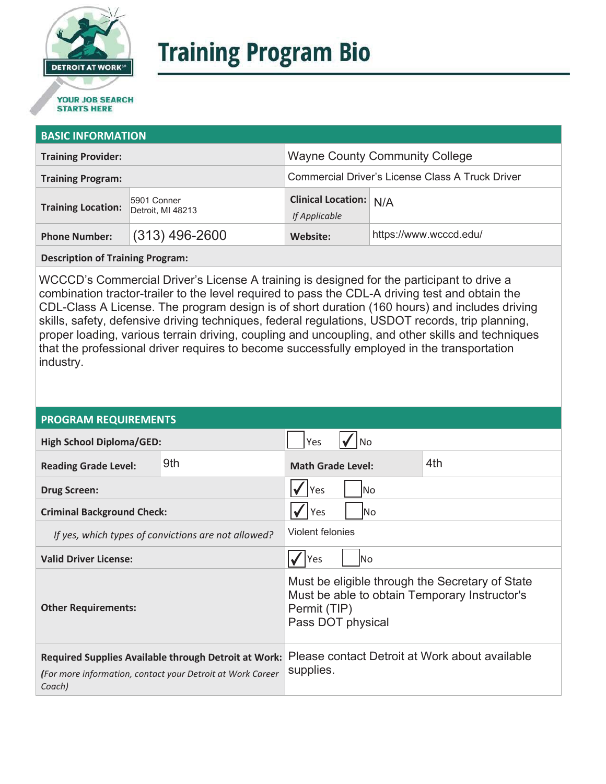

# **Training Program Bio**

## **STARTS HERE**

#### **BASIC INFORMATION**

| <b>Training Provider:</b> |                                  | <b>Wayne County Community College</b>            |                        |
|---------------------------|----------------------------------|--------------------------------------------------|------------------------|
| <b>Training Program:</b>  |                                  | Commercial Driver's License Class A Truck Driver |                        |
| <b>Training Location:</b> | 5901 Conner<br>Detroit, MI 48213 | <b>Clinical Location: N/A</b><br>If Applicable   |                        |
| <b>Phone Number:</b>      | $(313)$ 496-2600                 | Website:                                         | https://www.wcccd.edu/ |

**Description of Training Program:** 

WCCCD's Commercial Driver's License A training is designed for the participant to drive a combination tractor-trailer to the level required to pass the CDL-A driving test and obtain the CDL-Class A License. The program design is of short duration (160 hours) and includes driving skills, safety, defensive driving techniques, federal regulations, USDOT records, trip planning, proper loading, various terrain driving, coupling and uncoupling, and other skills and techniques that the professional driver requires to become successfully employed in the transportation industry.

#### **PROGRAM REQUIREMENTS**

| <b>High School Diploma/GED:</b>                                                                                                     |     | Yes                                                                                                                                   |  |  |
|-------------------------------------------------------------------------------------------------------------------------------------|-----|---------------------------------------------------------------------------------------------------------------------------------------|--|--|
| <b>Reading Grade Level:</b>                                                                                                         | 9th | 4th<br><b>Math Grade Level:</b>                                                                                                       |  |  |
| <b>Drug Screen:</b>                                                                                                                 |     | Yes<br>No.                                                                                                                            |  |  |
| <b>Criminal Background Check:</b>                                                                                                   |     | Yes<br>lNo                                                                                                                            |  |  |
| If yes, which types of convictions are not allowed?                                                                                 |     | Violent felonies                                                                                                                      |  |  |
| <b>Valid Driver License:</b>                                                                                                        |     | Yes<br>lNo                                                                                                                            |  |  |
| <b>Other Requirements:</b>                                                                                                          |     | Must be eligible through the Secretary of State<br>Must be able to obtain Temporary Instructor's<br>Permit (TIP)<br>Pass DOT physical |  |  |
| <b>Required Supplies Available through Detroit at Work:</b><br>(For more information, contact your Detroit at Work Career<br>Coach) |     | Please contact Detroit at Work about available<br>supplies.                                                                           |  |  |